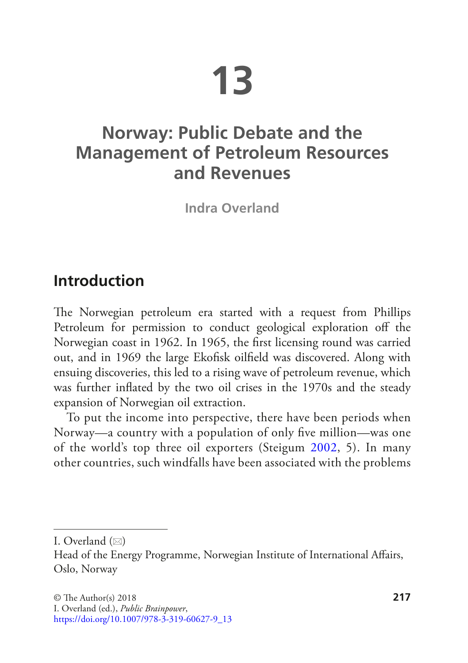# **13**

# **Norway: Public Debate and the Management of Petroleum Resources and Revenues**

**Indra Overland**

## **Introduction**

The Norwegian petroleum era started with a request from Phillips Petroleum for permission to conduct geological exploration off the Norwegian coast in 1962. In 1965, the first licensing round was carried out, and in 1969 the large Ekofisk oilfield was discovered. Along with ensuing discoveries, this led to a rising wave of petroleum revenue, which was further inflated by the two oil crises in the 1970s and the steady expansion of Norwegian oil extraction.

To put the income into perspective, there have been periods when Norway—a country with a population of only five million—was one of the world's top three oil exporters (Steigum [2002](#page-27-0), 5). In many other countries, such windfalls have been associated with the problems

I. Overland  $(\boxtimes)$ 

Head of the Energy Programme, Norwegian Institute of International Affairs, Oslo, Norway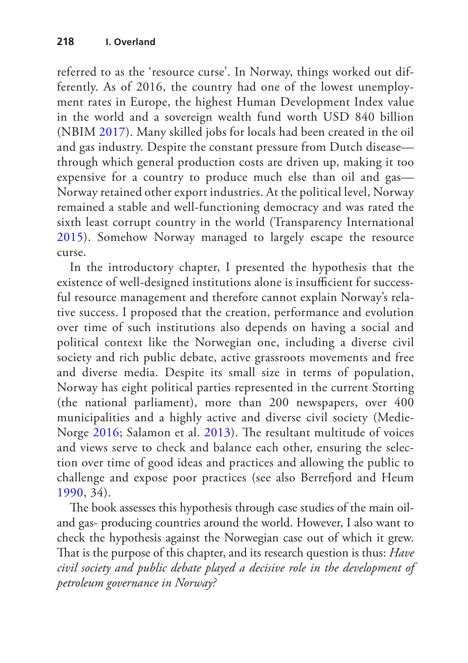referred to as the 'resource curse'. In Norway, things worked out differently. As of 2016, the country had one of the lowest unemployment rates in Europe, the highest Human Development Index value in the world and a sovereign wealth fund worth USD 840 billion (NBIM [2017\)](#page-25-0). Many skilled jobs for locals had been created in the oil and gas industry. Despite the constant pressure from Dutch disease through which general production costs are driven up, making it too expensive for a country to produce much else than oil and gas— Norway retained other export industries. At the political level, Norway remained a stable and well-functioning democracy and was rated the sixth least corrupt country in the world (Transparency International [2015\)](#page-27-1). Somehow Norway managed to largely escape the resource curse.

In the introductory chapter, I presented the hypothesis that the existence of well-designed institutions alone is insufficient for successful resource management and therefore cannot explain Norway's relative success. I proposed that the creation, performance and evolution over time of such institutions also depends on having a social and political context like the Norwegian one, including a diverse civil society and rich public debate, active grassroots movements and free and diverse media. Despite its small size in terms of population, Norway has eight political parties represented in the current Storting (the national parliament), more than 200 newspapers, over 400 municipalities and a highly active and diverse civil society (Medie-Norge [2016](#page-25-1); Salamon et al. [2013\)](#page-26-0). The resultant multitude of voices and views serve to check and balance each other, ensuring the selection over time of good ideas and practices and allowing the public to challenge and expose poor practices (see also Berrefjord and Heum [1990,](#page-22-0) 34).

The book assesses this hypothesis through case studies of the main oiland gas- producing countries around the world. However, I also want to check the hypothesis against the Norwegian case out of which it grew. That is the purpose of this chapter, and its research question is thus: *Have civil society and public debate played a decisive role in the development of petroleum governance in Norway?*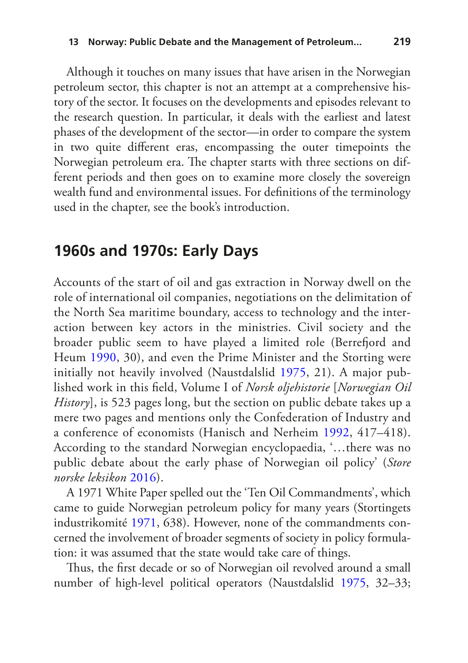Although it touches on many issues that have arisen in the Norwegian petroleum sector, this chapter is not an attempt at a comprehensive history of the sector. It focuses on the developments and episodes relevant to the research question. In particular, it deals with the earliest and latest phases of the development of the sector—in order to compare the system in two quite different eras, encompassing the outer timepoints the Norwegian petroleum era. The chapter starts with three sections on different periods and then goes on to examine more closely the sovereign wealth fund and environmental issues. For definitions of the terminology used in the chapter, see the book's introduction.

#### **1960s and 1970s: Early Days**

Accounts of the start of oil and gas extraction in Norway dwell on the role of international oil companies, negotiations on the delimitation of the North Sea maritime boundary, access to technology and the interaction between key actors in the ministries. Civil society and the broader public seem to have played a limited role (Berrefjord and Heum [1990](#page-22-0), 30), and even the Prime Minister and the Storting were initially not heavily involved (Naustdalslid [1975,](#page-25-2) 21). A major published work in this field, Volume I of *Norsk oljehistorie* [*Norwegian Oil History*], is 523 pages long, but the section on public debate takes up a mere two pages and mentions only the Confederation of Industry and a conference of economists (Hanisch and Nerheim [1992](#page-23-0), 417–418). According to the standard Norwegian encyclopaedia, '…there was no public debate about the early phase of Norwegian oil policy' (*Store norske leksikon* [2016](#page-27-2)).

A 1971 White Paper spelled out the 'Ten Oil Commandments', which came to guide Norwegian petroleum policy for many years (Stortingets industrikomité [1971](#page-27-3), 638). However, none of the commandments concerned the involvement of broader segments of society in policy formulation: it was assumed that the state would take care of things.

Thus, the first decade or so of Norwegian oil revolved around a small number of high-level political operators (Naustdalslid [1975](#page-25-2), 32–33;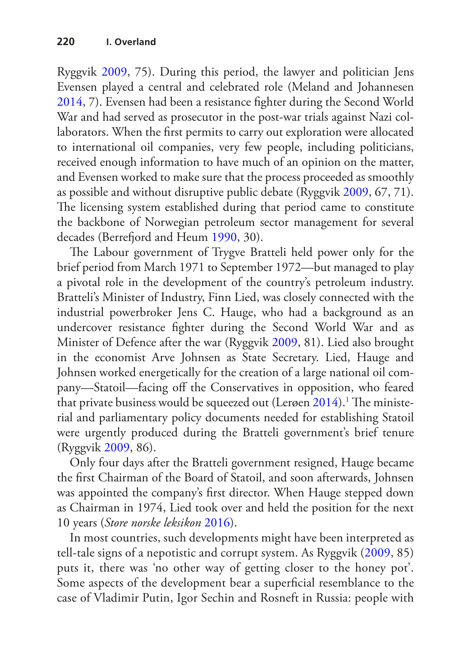Ryggvik [2009](#page-26-1), 75). During this period, the lawyer and politician Jens Evensen played a central and celebrated role (Meland and Johannesen [2014](#page-25-3), 7). Evensen had been a resistance fighter during the Second World War and had served as prosecutor in the post-war trials against Nazi collaborators. When the first permits to carry out exploration were allocated to international oil companies, very few people, including politicians, received enough information to have much of an opinion on the matter, and Evensen worked to make sure that the process proceeded as smoothly as possible and without disruptive public debate (Ryggvik [2009,](#page-26-1) 67, 71). The licensing system established during that period came to constitute the backbone of Norwegian petroleum sector management for several decades (Berrefjord and Heum [1990,](#page-22-0) 30).

The Labour government of Trygve Bratteli held power only for the brief period from March 1971 to September 1972—but managed to play a pivotal role in the development of the country's petroleum industry. Bratteli's Minister of Industry, Finn Lied, was closely connected with the industrial powerbroker Jens C. Hauge, who had a background as an undercover resistance fighter during the Second World War and as Minister of Defence after the war (Ryggvik [2009,](#page-26-1) 81). Lied also brought in the economist Arve Johnsen as State Secretary. Lied, Hauge and Johnsen worked energetically for the creation of a large national oil company—Statoil—facing off the Conservatives in opposition, who feared that private business would be squeezed out (Lerøen  $2014$ ).<sup>1</sup> The ministerial and parliamentary policy documents needed for establishing Statoil were urgently produced during the Bratteli government's brief tenure (Ryggvik [2009](#page-26-1), 86).

Only four days after the Bratteli government resigned, Hauge became the first Chairman of the Board of Statoil, and soon afterwards, Johnsen was appointed the company's first director. When Hauge stepped down as Chairman in 1974, Lied took over and held the position for the next 10 years (*Store norske leksikon* [2016](#page-27-2)).

In most countries, such developments might have been interpreted as tell-tale signs of a nepotistic and corrupt system. As Ryggvik ([2009](#page-26-1), 85) puts it, there was 'no other way of getting closer to the honey pot'. Some aspects of the development bear a superficial resemblance to the case of Vladimir Putin, Igor Sechin and Rosneft in Russia: people with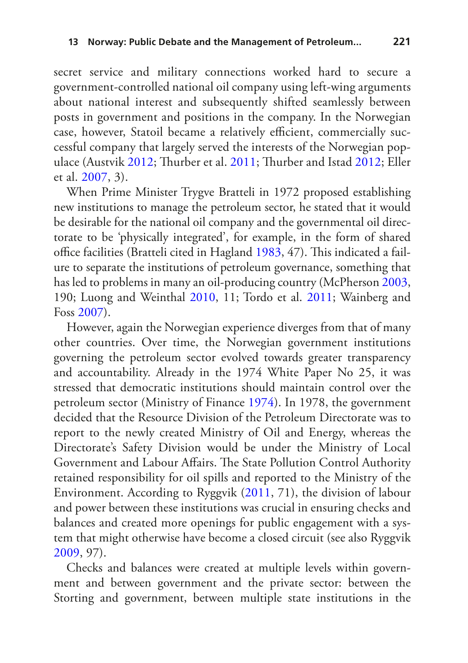secret service and military connections worked hard to secure a government-controlled national oil company using left-wing arguments about national interest and subsequently shifted seamlessly between posts in government and positions in the company. In the Norwegian case, however, Statoil became a relatively efficient, commercially successful company that largely served the interests of the Norwegian populace (Austvik [2012;](#page-21-1) Thurber et al. [2011;](#page-27-4) Thurber and Istad [2012;](#page-27-5) Eller et al. [2007,](#page-22-1) 3).

When Prime Minister Trygve Bratteli in 1972 proposed establishing new institutions to manage the petroleum sector, he stated that it would be desirable for the national oil company and the governmental oil directorate to be 'physically integrated', for example, in the form of shared office facilities (Bratteli cited in Hagland [1983](#page-23-1), 47). This indicated a failure to separate the institutions of petroleum governance, something that has led to problems in many an oil-producing country (McPherson [2003,](#page-25-4) 190; Luong and Weinthal [2010](#page-24-1), 11; Tordo et al. [2011](#page-27-6); Wainberg and Foss [2007\)](#page-27-7).

However, again the Norwegian experience diverges from that of many other countries. Over time, the Norwegian government institutions governing the petroleum sector evolved towards greater transparency and accountability. Already in the 1974 White Paper No 25, it was stressed that democratic institutions should maintain control over the petroleum sector (Ministry of Finance [1974\)](#page-25-5). In 1978, the government decided that the Resource Division of the Petroleum Directorate was to report to the newly created Ministry of Oil and Energy, whereas the Directorate's Safety Division would be under the Ministry of Local Government and Labour Affairs. The State Pollution Control Authority retained responsibility for oil spills and reported to the Ministry of the Environment. According to Ryggvik ([2011,](#page-26-2) 71), the division of labour and power between these institutions was crucial in ensuring checks and balances and created more openings for public engagement with a system that might otherwise have become a closed circuit (see also Ryggvik [2009](#page-26-1), 97).

Checks and balances were created at multiple levels within government and between government and the private sector: between the Storting and government, between multiple state institutions in the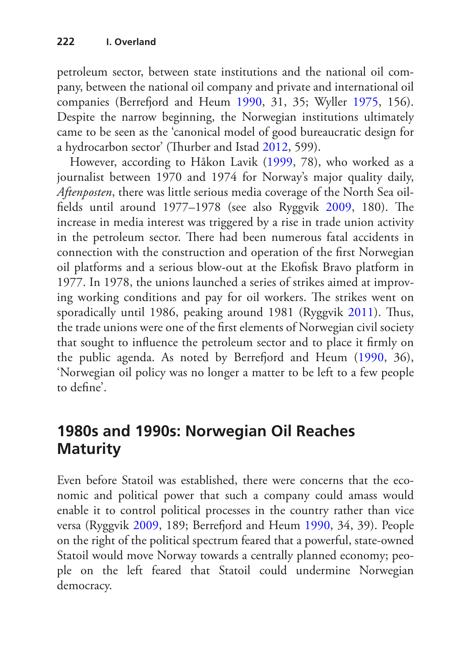petroleum sector, between state institutions and the national oil company, between the national oil company and private and international oil companies (Berrefjord and Heum [1990,](#page-22-0) 31, 35; Wyller [1975](#page-28-0), 156). Despite the narrow beginning, the Norwegian institutions ultimately came to be seen as the 'canonical model of good bureaucratic design for a hydrocarbon sector' (Thurber and Istad [2012](#page-27-5), 599).

However, according to Håkon Lavik [\(1999,](#page-24-2) 78), who worked as a journalist between 1970 and 1974 for Norway's major quality daily, *Aftenposten*, there was little serious media coverage of the North Sea oilfields until around 1977–1978 (see also Ryggvik [2009](#page-26-1), 180). The increase in media interest was triggered by a rise in trade union activity in the petroleum sector. There had been numerous fatal accidents in connection with the construction and operation of the first Norwegian oil platforms and a serious blow-out at the Ekofisk Bravo platform in 1977. In 1978, the unions launched a series of strikes aimed at improving working conditions and pay for oil workers. The strikes went on sporadically until 1986, peaking around 1981 (Ryggvik [2011](#page-26-2)). Thus, the trade unions were one of the first elements of Norwegian civil society that sought to influence the petroleum sector and to place it firmly on the public agenda. As noted by Berrefjord and Heum [\(1990](#page-22-0), 36), 'Norwegian oil policy was no longer a matter to be left to a few people to define'.

## **1980s and 1990s: Norwegian Oil Reaches Maturity**

Even before Statoil was established, there were concerns that the economic and political power that such a company could amass would enable it to control political processes in the country rather than vice versa (Ryggvik [2009](#page-26-1), 189; Berrefjord and Heum [1990](#page-22-0), 34, 39). People on the right of the political spectrum feared that a powerful, state-owned Statoil would move Norway towards a centrally planned economy; people on the left feared that Statoil could undermine Norwegian democracy.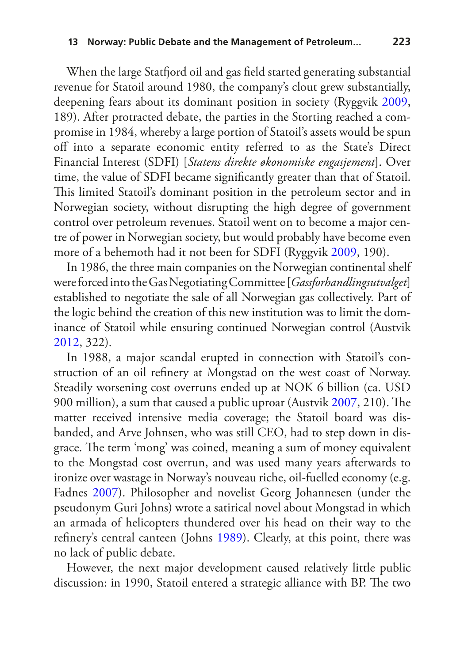When the large Statfjord oil and gas field started generating substantial revenue for Statoil around 1980, the company's clout grew substantially, deepening fears about its dominant position in society (Ryggvik [2009,](#page-26-1) 189). After protracted debate, the parties in the Storting reached a compromise in 1984, whereby a large portion of Statoil's assets would be spun off into a separate economic entity referred to as the State's Direct Financial Interest (SDFI) [*Statens direkte økonomiske engasjement*]. Over time, the value of SDFI became significantly greater than that of Statoil. This limited Statoil's dominant position in the petroleum sector and in Norwegian society, without disrupting the high degree of government control over petroleum revenues. Statoil went on to become a major centre of power in Norwegian society, but would probably have become even more of a behemoth had it not been for SDFI (Ryggvik [2009](#page-26-1), 190).

In 1986, the three main companies on the Norwegian continental shelf were forced into the Gas Negotiating Committee [*Gassforhandlingsutvalget*] established to negotiate the sale of all Norwegian gas collectively. Part of the logic behind the creation of this new institution was to limit the dominance of Statoil while ensuring continued Norwegian control (Austvik [2012](#page-21-1), 322).

In 1988, a major scandal erupted in connection with Statoil's construction of an oil refinery at Mongstad on the west coast of Norway. Steadily worsening cost overruns ended up at NOK 6 billion (ca. USD 900 million), a sum that caused a public uproar (Austvik [2007](#page-21-2), 210). The matter received intensive media coverage; the Statoil board was disbanded, and Arve Johnsen, who was still CEO, had to step down in disgrace. The term 'mong' was coined, meaning a sum of money equivalent to the Mongstad cost overrun, and was used many years afterwards to ironize over wastage in Norway's nouveau riche, oil-fuelled economy (e.g. Fadnes [2007\)](#page-23-2). Philosopher and novelist Georg Johannesen (under the pseudonym Guri Johns) wrote a satirical novel about Mongstad in which an armada of helicopters thundered over his head on their way to the refinery's central canteen (Johns [1989](#page-24-3)). Clearly, at this point, there was no lack of public debate.

However, the next major development caused relatively little public discussion: in 1990, Statoil entered a strategic alliance with BP. The two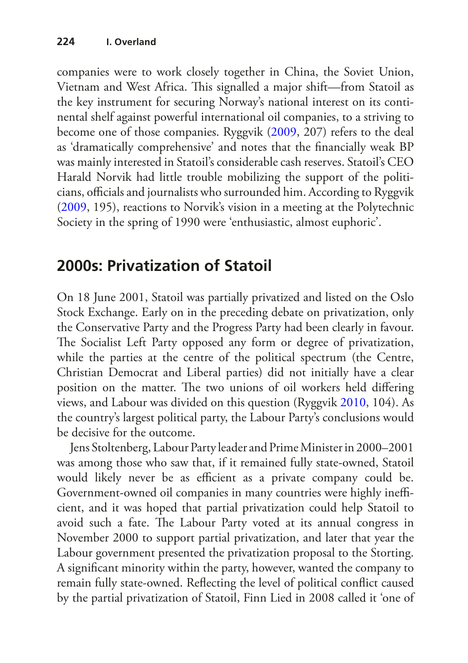companies were to work closely together in China, the Soviet Union, Vietnam and West Africa. This signalled a major shift—from Statoil as the key instrument for securing Norway's national interest on its continental shelf against powerful international oil companies, to a striving to become one of those companies. Ryggvik [\(2009](#page-26-1), 207) refers to the deal as 'dramatically comprehensive' and notes that the financially weak BP was mainly interested in Statoil's considerable cash reserves. Statoil's CEO Harald Norvik had little trouble mobilizing the support of the politicians, officials and journalists who surrounded him. According to Ryggvik ([2009,](#page-26-1) 195), reactions to Norvik's vision in a meeting at the Polytechnic Society in the spring of 1990 were 'enthusiastic, almost euphoric'.

## **2000s: Privatization of Statoil**

On 18 June 2001, Statoil was partially privatized and listed on the Oslo Stock Exchange. Early on in the preceding debate on privatization, only the Conservative Party and the Progress Party had been clearly in favour. The Socialist Left Party opposed any form or degree of privatization, while the parties at the centre of the political spectrum (the Centre, Christian Democrat and Liberal parties) did not initially have a clear position on the matter. The two unions of oil workers held differing views, and Labour was divided on this question (Ryggvik [2010](#page-26-3), 104). As the country's largest political party, the Labour Party's conclusions would be decisive for the outcome.

Jens Stoltenberg, Labour Party leader and Prime Minister in 2000–2001 was among those who saw that, if it remained fully state-owned, Statoil would likely never be as efficient as a private company could be. Government-owned oil companies in many countries were highly inefficient, and it was hoped that partial privatization could help Statoil to avoid such a fate. The Labour Party voted at its annual congress in November 2000 to support partial privatization, and later that year the Labour government presented the privatization proposal to the Storting. A significant minority within the party, however, wanted the company to remain fully state-owned. Reflecting the level of political conflict caused by the partial privatization of Statoil, Finn Lied in 2008 called it 'one of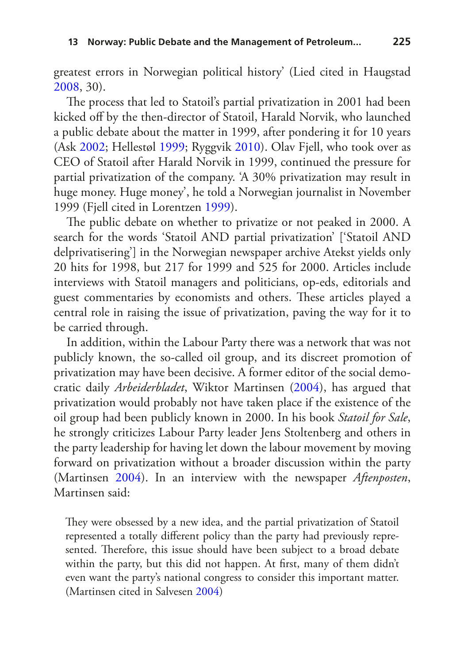greatest errors in Norwegian political history' (Lied cited in Haugstad [2008](#page-23-3), 30).

The process that led to Statoil's partial privatization in 2001 had been kicked off by the then-director of Statoil, Harald Norvik, who launched a public debate about the matter in 1999, after pondering it for 10 years (Ask [2002](#page-21-3); Hellestøl [1999;](#page-23-4) Ryggvik [2010\)](#page-26-3). Olav Fjell, who took over as CEO of Statoil after Harald Norvik in 1999, continued the pressure for partial privatization of the company. 'A 30% privatization may result in huge money. Huge money', he told a Norwegian journalist in November 1999 (Fjell cited in Lorentzen [1999\)](#page-24-4).

The public debate on whether to privatize or not peaked in 2000. A search for the words 'Statoil AND partial privatization' ['Statoil AND delprivatisering'] in the Norwegian newspaper archive Atekst yields only 20 hits for 1998, but 217 for 1999 and 525 for 2000. Articles include interviews with Statoil managers and politicians, op-eds, editorials and guest commentaries by economists and others. These articles played a central role in raising the issue of privatization, paving the way for it to be carried through.

In addition, within the Labour Party there was a network that was not publicly known, the so-called oil group, and its discreet promotion of privatization may have been decisive. A former editor of the social democratic daily *Arbeiderbladet*, Wiktor Martinsen [\(2004](#page-24-5)), has argued that privatization would probably not have taken place if the existence of the oil group had been publicly known in 2000. In his book *Statoil for Sale*, he strongly criticizes Labour Party leader Jens Stoltenberg and others in the party leadership for having let down the labour movement by moving forward on privatization without a broader discussion within the party (Martinsen [2004\)](#page-24-5). In an interview with the newspaper *Aftenposten*, Martinsen said:

They were obsessed by a new idea, and the partial privatization of Statoil represented a totally different policy than the party had previously represented. Therefore, this issue should have been subject to a broad debate within the party, but this did not happen. At first, many of them didn't even want the party's national congress to consider this important matter. (Martinsen cited in Salvesen [2004\)](#page-26-4)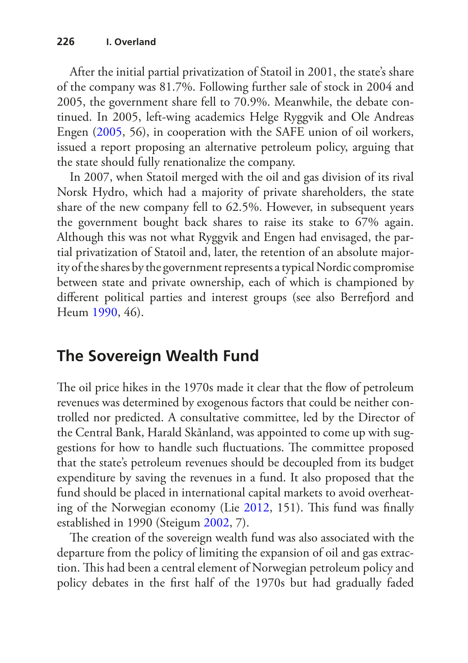After the initial partial privatization of Statoil in 2001, the state's share of the company was 81.7%. Following further sale of stock in 2004 and 2005, the government share fell to 70.9%. Meanwhile, the debate continued. In 2005, left-wing academics Helge Ryggvik and Ole Andreas Engen ([2005,](#page-26-5) 56), in cooperation with the SAFE union of oil workers, issued a report proposing an alternative petroleum policy, arguing that the state should fully renationalize the company.

In 2007, when Statoil merged with the oil and gas division of its rival Norsk Hydro, which had a majority of private shareholders, the state share of the new company fell to 62.5%. However, in subsequent years the government bought back shares to raise its stake to 67% again. Although this was not what Ryggvik and Engen had envisaged, the partial privatization of Statoil and, later, the retention of an absolute majority of the shares by the government represents a typical Nordic compromise between state and private ownership, each of which is championed by different political parties and interest groups (see also Berrefjord and Heum [1990](#page-22-0), 46).

# **The Sovereign Wealth Fund**

The oil price hikes in the 1970s made it clear that the flow of petroleum revenues was determined by exogenous factors that could be neither controlled nor predicted. A consultative committee, led by the Director of the Central Bank, Harald Skånland, was appointed to come up with suggestions for how to handle such fluctuations. The committee proposed that the state's petroleum revenues should be decoupled from its budget expenditure by saving the revenues in a fund. It also proposed that the fund should be placed in international capital markets to avoid overheating of the Norwegian economy (Lie [2012,](#page-24-6) 151). This fund was finally established in 1990 (Steigum [2002,](#page-27-0) 7).

The creation of the sovereign wealth fund was also associated with the departure from the policy of limiting the expansion of oil and gas extraction. This had been a central element of Norwegian petroleum policy and policy debates in the first half of the 1970s but had gradually faded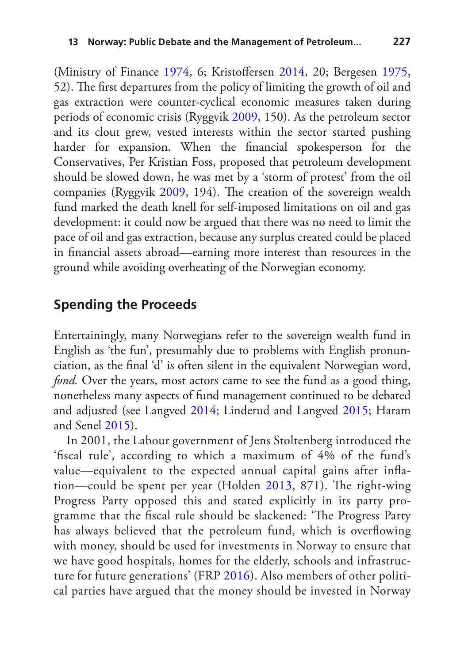(Ministry of Finance [1974,](#page-25-5) 6; Kristoffersen [2014](#page-24-7), 20; Bergesen [1975,](#page-22-2) 52). The first departures from the policy of limiting the growth of oil and gas extraction were counter-cyclical economic measures taken during periods of economic crisis (Ryggvik [2009](#page-26-1), 150). As the petroleum sector and its clout grew, vested interests within the sector started pushing harder for expansion. When the financial spokesperson for the Conservatives, Per Kristian Foss, proposed that petroleum development should be slowed down, he was met by a 'storm of protest' from the oil companies (Ryggvik [2009](#page-26-1), 194). The creation of the sovereign wealth fund marked the death knell for self-imposed limitations on oil and gas development: it could now be argued that there was no need to limit the pace of oil and gas extraction, because any surplus created could be placed in financial assets abroad—earning more interest than resources in the ground while avoiding overheating of the Norwegian economy.

#### **Spending the Proceeds**

Entertainingly, many Norwegians refer to the sovereign wealth fund in English as 'the fun', presumably due to problems with English pronunciation, as the final 'd' is often silent in the equivalent Norwegian word, *fond.* Over the years, most actors came to see the fund as a good thing, nonetheless many aspects of fund management continued to be debated and adjusted (see Langved [2014;](#page-24-8) Linderud and Langved [2015](#page-24-9); Haram and Senel [2015\)](#page-23-5).

In 2001, the Labour government of Jens Stoltenberg introduced the 'fiscal rule', according to which a maximum of 4% of the fund's value—equivalent to the expected annual capital gains after inflation—could be spent per year (Holden [2013](#page-23-6), 871). The right-wing Progress Party opposed this and stated explicitly in its party programme that the fiscal rule should be slackened: 'The Progress Party has always believed that the petroleum fund, which is overflowing with money, should be used for investments in Norway to ensure that we have good hospitals, homes for the elderly, schools and infrastructure for future generations' (FRP [2016](#page-23-7)). Also members of other political parties have argued that the money should be invested in Norway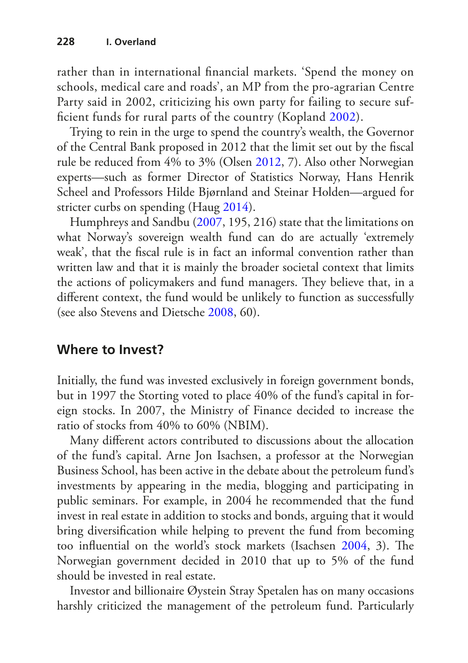rather than in international financial markets. 'Spend the money on schools, medical care and roads', an MP from the pro-agrarian Centre Party said in 2002, criticizing his own party for failing to secure sufficient funds for rural parts of the country (Kopland [2002](#page-24-10)).

Trying to rein in the urge to spend the country's wealth, the Governor of the Central Bank proposed in 2012 that the limit set out by the fiscal rule be reduced from 4% to 3% (Olsen [2012](#page-25-6), 7). Also other Norwegian experts—such as former Director of Statistics Norway, Hans Henrik Scheel and Professors Hilde Bjørnland and Steinar Holden—argued for stricter curbs on spending (Haug [2014\)](#page-23-8).

Humphreys and Sandbu [\(2007](#page-23-9), 195, 216) state that the limitations on what Norway's sovereign wealth fund can do are actually 'extremely weak', that the fiscal rule is in fact an informal convention rather than written law and that it is mainly the broader societal context that limits the actions of policymakers and fund managers. They believe that, in a different context, the fund would be unlikely to function as successfully (see also Stevens and Dietsche [2008,](#page-27-8) 60).

#### **Where to Invest?**

Initially, the fund was invested exclusively in foreign government bonds, but in 1997 the Storting voted to place 40% of the fund's capital in foreign stocks. In 2007, the Ministry of Finance decided to increase the ratio of stocks from 40% to 60% (NBIM).

Many different actors contributed to discussions about the allocation of the fund's capital. Arne Jon Isachsen, a professor at the Norwegian Business School, has been active in the debate about the petroleum fund's investments by appearing in the media, blogging and participating in public seminars. For example, in 2004 he recommended that the fund invest in real estate in addition to stocks and bonds, arguing that it would bring diversification while helping to prevent the fund from becoming too influential on the world's stock markets (Isachsen [2004](#page-24-11), 3). The Norwegian government decided in 2010 that up to 5% of the fund should be invested in real estate.

Investor and billionaire Øystein Stray Spetalen has on many occasions harshly criticized the management of the petroleum fund. Particularly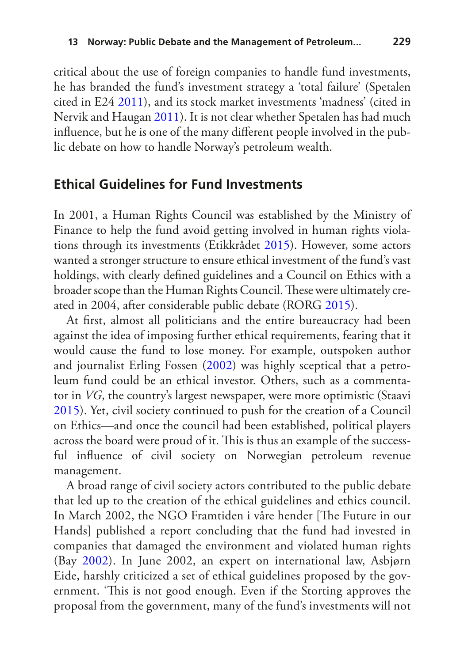critical about the use of foreign companies to handle fund investments, he has branded the fund's investment strategy a 'total failure' (Spetalen cited in E24 [2011\)](#page-22-3), and its stock market investments 'madness' (cited in Nervik and Haugan [2011](#page-25-7)). It is not clear whether Spetalen has had much influence, but he is one of the many different people involved in the public debate on how to handle Norway's petroleum wealth.

#### **Ethical Guidelines for Fund Investments**

In 2001, a Human Rights Council was established by the Ministry of Finance to help the fund avoid getting involved in human rights violations through its investments (Etikkrådet [2015](#page-22-4)). However, some actors wanted a stronger structure to ensure ethical investment of the fund's vast holdings, with clearly defined guidelines and a Council on Ethics with a broader scope than the Human Rights Council. These were ultimately created in 2004, after considerable public debate (RORG [2015\)](#page-26-6).

At first, almost all politicians and the entire bureaucracy had been against the idea of imposing further ethical requirements, fearing that it would cause the fund to lose money. For example, outspoken author and journalist Erling Fossen [\(2002](#page-23-10)) was highly sceptical that a petroleum fund could be an ethical investor. Others, such as a commentator in *VG*, the country's largest newspaper, were more optimistic (Staavi [2015\)](#page-27-9). Yet, civil society continued to push for the creation of a Council on Ethics—and once the council had been established, political players across the board were proud of it. This is thus an example of the successful influence of civil society on Norwegian petroleum revenue management.

A broad range of civil society actors contributed to the public debate that led up to the creation of the ethical guidelines and ethics council. In March 2002, the NGO Framtiden i våre hender [The Future in our Hands] published a report concluding that the fund had invested in companies that damaged the environment and violated human rights (Bay [2002](#page-21-4)). In June 2002, an expert on international law, Asbjørn Eide, harshly criticized a set of ethical guidelines proposed by the government. 'This is not good enough. Even if the Storting approves the proposal from the government, many of the fund's investments will not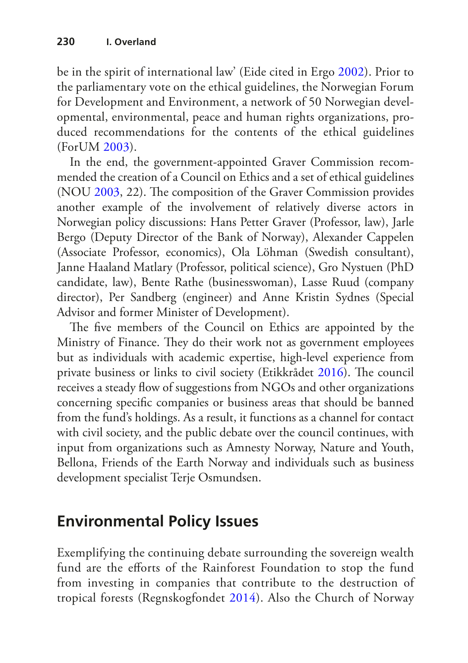be in the spirit of international law' (Eide cited in Ergo [2002\)](#page-22-5). Prior to the parliamentary vote on the ethical guidelines, the Norwegian Forum for Development and Environment, a network of 50 Norwegian developmental, environmental, peace and human rights organizations, produced recommendations for the contents of the ethical guidelines (ForUM [2003](#page-23-11)).

In the end, the government-appointed Graver Commission recommended the creation of a Council on Ethics and a set of ethical guidelines (NOU [2003](#page-25-8), 22). The composition of the Graver Commission provides another example of the involvement of relatively diverse actors in Norwegian policy discussions: Hans Petter Graver (Professor, law), Jarle Bergo (Deputy Director of the Bank of Norway), Alexander Cappelen (Associate Professor, economics), Ola Löhman (Swedish consultant), Janne Haaland Matlary (Professor, political science), Gro Nystuen (PhD candidate, law), Bente Rathe (businesswoman), Lasse Ruud (company director), Per Sandberg (engineer) and Anne Kristin Sydnes (Special Advisor and former Minister of Development).

The five members of the Council on Ethics are appointed by the Ministry of Finance. They do their work not as government employees but as individuals with academic expertise, high-level experience from private business or links to civil society (Etikkrådet [2016](#page-22-6)). The council receives a steady flow of suggestions from NGOs and other organizations concerning specific companies or business areas that should be banned from the fund's holdings. As a result, it functions as a channel for contact with civil society, and the public debate over the council continues, with input from organizations such as Amnesty Norway, Nature and Youth, Bellona, Friends of the Earth Norway and individuals such as business development specialist Terje Osmundsen.

# **Environmental Policy Issues**

Exemplifying the continuing debate surrounding the sovereign wealth fund are the efforts of the Rainforest Foundation to stop the fund from investing in companies that contribute to the destruction of tropical forests (Regnskogfondet [2014\)](#page-26-7). Also the Church of Norway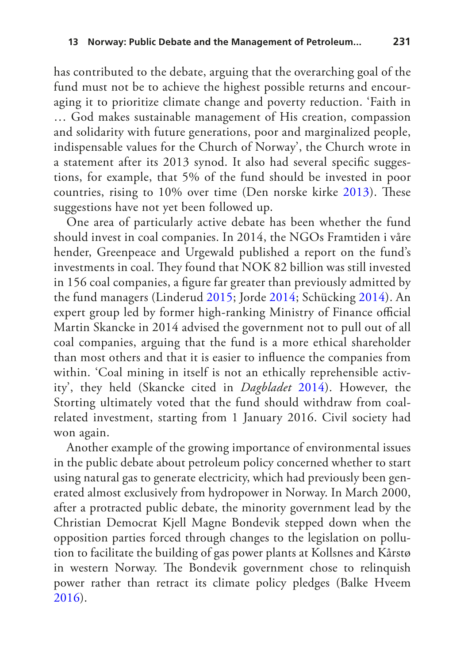has contributed to the debate, arguing that the overarching goal of the fund must not be to achieve the highest possible returns and encouraging it to prioritize climate change and poverty reduction. 'Faith in … God makes sustainable management of His creation, compassion and solidarity with future generations, poor and marginalized people, indispensable values for the Church of Norway', the Church wrote in a statement after its 2013 synod. It also had several specific suggestions, for example, that 5% of the fund should be invested in poor countries, rising to 10% over time (Den norske kirke [2013\)](#page-22-7). These suggestions have not yet been followed up.

One area of particularly active debate has been whether the fund should invest in coal companies. In 2014, the NGOs Framtiden i våre hender, Greenpeace and Urgewald published a report on the fund's investments in coal. They found that NOK 82 billion was still invested in 156 coal companies, a figure far greater than previously admitted by the fund managers (Linderud [2015](#page-24-12); Jorde [2014](#page-24-13); Schücking [2014\)](#page-26-8). An expert group led by former high-ranking Ministry of Finance official Martin Skancke in 2014 advised the government not to pull out of all coal companies, arguing that the fund is a more ethical shareholder than most others and that it is easier to influence the companies from within. 'Coal mining in itself is not an ethically reprehensible activity', they held (Skancke cited in *Dagbladet* [2014](#page-22-8)). However, the Storting ultimately voted that the fund should withdraw from coalrelated investment, starting from 1 January 2016. Civil society had won again.

Another example of the growing importance of environmental issues in the public debate about petroleum policy concerned whether to start using natural gas to generate electricity, which had previously been generated almost exclusively from hydropower in Norway. In March 2000, after a protracted public debate, the minority government lead by the Christian Democrat Kjell Magne Bondevik stepped down when the opposition parties forced through changes to the legislation on pollution to facilitate the building of gas power plants at Kollsnes and Kårstø in western Norway. The Bondevik government chose to relinquish power rather than retract its climate policy pledges (Balke Hveem [2016\)](#page-21-5).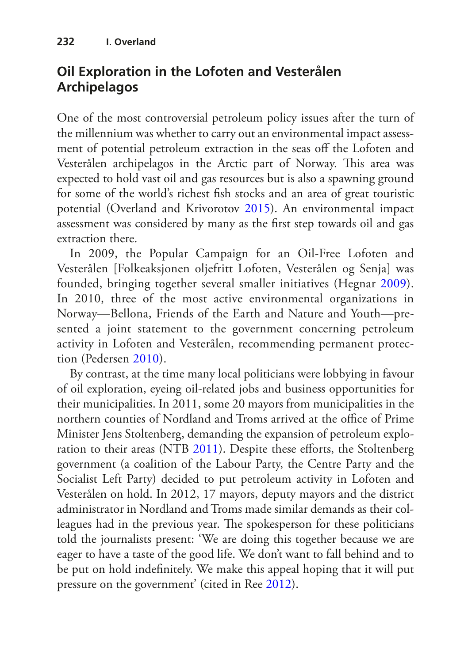### **Oil Exploration in the Lofoten and Vesterålen Archipelagos**

One of the most controversial petroleum policy issues after the turn of the millennium was whether to carry out an environmental impact assessment of potential petroleum extraction in the seas off the Lofoten and Vesterålen archipelagos in the Arctic part of Norway. This area was expected to hold vast oil and gas resources but is also a spawning ground for some of the world's richest fish stocks and an area of great touristic potential (Overland and Krivorotov [2015](#page-25-9)). An environmental impact assessment was considered by many as the first step towards oil and gas extraction there.

In 2009, the Popular Campaign for an Oil-Free Lofoten and Vesterålen [Folkeaksjonen oljefritt Lofoten, Vesterålen og Senja] was founded, bringing together several smaller initiatives (Hegnar [2009\)](#page-23-12). In 2010, three of the most active environmental organizations in Norway—Bellona, Friends of the Earth and Nature and Youth—presented a joint statement to the government concerning petroleum activity in Lofoten and Vesterålen, recommending permanent protection (Pedersen [2010\)](#page-26-9).

By contrast, at the time many local politicians were lobbying in favour of oil exploration, eyeing oil-related jobs and business opportunities for their municipalities. In 2011, some 20 mayors from municipalities in the northern counties of Nordland and Troms arrived at the office of Prime Minister Jens Stoltenberg, demanding the expansion of petroleum exploration to their areas (NTB [2011](#page-25-10)). Despite these efforts, the Stoltenberg government (a coalition of the Labour Party, the Centre Party and the Socialist Left Party) decided to put petroleum activity in Lofoten and Vesterålen on hold. In 2012, 17 mayors, deputy mayors and the district administrator in Nordland and Troms made similar demands as their colleagues had in the previous year. The spokesperson for these politicians told the journalists present: 'We are doing this together because we are eager to have a taste of the good life. We don't want to fall behind and to be put on hold indefinitely. We make this appeal hoping that it will put pressure on the government' (cited in Ree [2012\)](#page-26-10).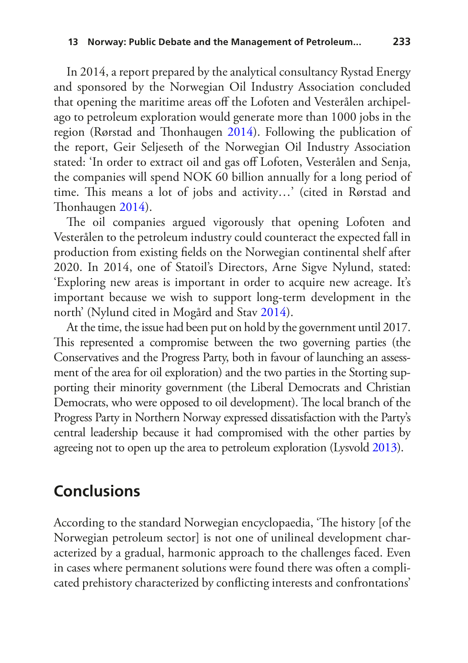In 2014, a report prepared by the analytical consultancy Rystad Energy and sponsored by the Norwegian Oil Industry Association concluded that opening the maritime areas off the Lofoten and Vesterålen archipelago to petroleum exploration would generate more than 1000 jobs in the region (Rørstad and Thonhaugen [2014](#page-26-11)). Following the publication of the report, Geir Seljeseth of the Norwegian Oil Industry Association stated: 'In order to extract oil and gas off Lofoten, Vesterålen and Senja, the companies will spend NOK 60 billion annually for a long period of time. This means a lot of jobs and activity…' (cited in Rørstad and Thonhaugen [2014](#page-26-11)).

The oil companies argued vigorously that opening Lofoten and Vesterålen to the petroleum industry could counteract the expected fall in production from existing fields on the Norwegian continental shelf after 2020. In 2014, one of Statoil's Directors, Arne Sigve Nylund, stated: 'Exploring new areas is important in order to acquire new acreage. It's important because we wish to support long-term development in the north' (Nylund cited in Mogård and Stav [2014\)](#page-25-11).

At the time, the issue had been put on hold by the government until 2017. This represented a compromise between the two governing parties (the Conservatives and the Progress Party, both in favour of launching an assessment of the area for oil exploration) and the two parties in the Storting supporting their minority government (the Liberal Democrats and Christian Democrats, who were opposed to oil development). The local branch of the Progress Party in Northern Norway expressed dissatisfaction with the Party's central leadership because it had compromised with the other parties by agreeing not to open up the area to petroleum exploration (Lysvold [2013](#page-24-14)).

#### **Conclusions**

According to the standard Norwegian encyclopaedia, 'The history [of the Norwegian petroleum sector] is not one of unilineal development characterized by a gradual, harmonic approach to the challenges faced. Even in cases where permanent solutions were found there was often a complicated prehistory characterized by conflicting interests and confrontations'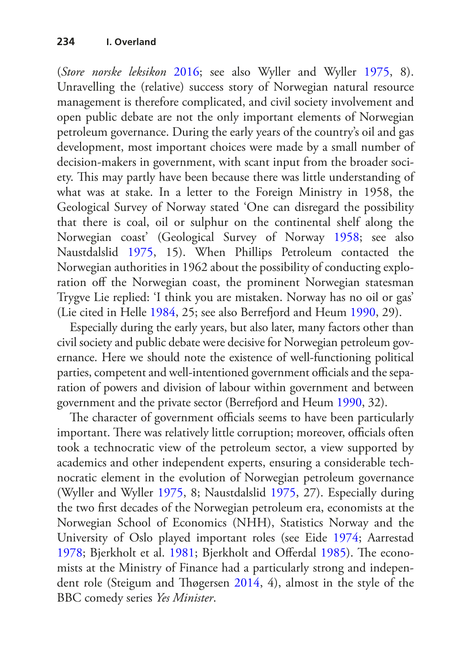(*Store norske leksikon* [2016;](#page-27-2) see also Wyller and Wyller [1975](#page-28-1), 8). Unravelling the (relative) success story of Norwegian natural resource management is therefore complicated, and civil society involvement and open public debate are not the only important elements of Norwegian petroleum governance. During the early years of the country's oil and gas development, most important choices were made by a small number of decision-makers in government, with scant input from the broader society. This may partly have been because there was little understanding of what was at stake. In a letter to the Foreign Ministry in 1958, the Geological Survey of Norway stated 'One can disregard the possibility that there is coal, oil or sulphur on the continental shelf along the Norwegian coast' (Geological Survey of Norway [1958](#page-23-13); see also Naustdalslid [1975](#page-25-2), 15). When Phillips Petroleum contacted the Norwegian authorities in 1962 about the possibility of conducting exploration off the Norwegian coast, the prominent Norwegian statesman Trygve Lie replied: 'I think you are mistaken. Norway has no oil or gas' (Lie cited in Helle [1984](#page-23-14), 25; see also Berrefjord and Heum [1990](#page-22-0), 29).

Especially during the early years, but also later, many factors other than civil society and public debate were decisive for Norwegian petroleum governance. Here we should note the existence of well-functioning political parties, competent and well-intentioned government officials and the separation of powers and division of labour within government and between government and the private sector (Berrefjord and Heum [1990,](#page-22-0) 32).

The character of government officials seems to have been particularly important. There was relatively little corruption; moreover, officials often took a technocratic view of the petroleum sector, a view supported by academics and other independent experts, ensuring a considerable technocratic element in the evolution of Norwegian petroleum governance (Wyller and Wyller [1975](#page-28-1), 8; Naustdalslid [1975](#page-25-2), 27). Especially during the two first decades of the Norwegian petroleum era, economists at the Norwegian School of Economics (NHH), Statistics Norway and the University of Oslo played important roles (see Eide [1974;](#page-22-9) Aarrestad [1978](#page-21-6); Bjerkholt et al. [1981;](#page-22-10) Bjerkholt and Offerdal [1985\)](#page-22-11). The economists at the Ministry of Finance had a particularly strong and independent role (Steigum and Thøgersen [2014](#page-27-10), 4), almost in the style of the BBC comedy series *Yes Minister*.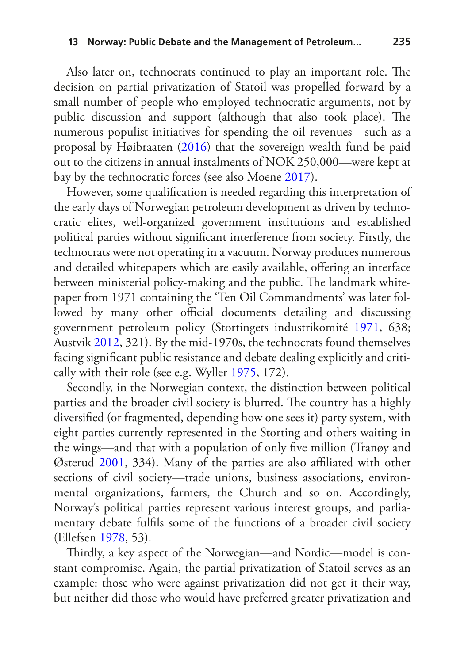Also later on, technocrats continued to play an important role. The decision on partial privatization of Statoil was propelled forward by a small number of people who employed technocratic arguments, not by public discussion and support (although that also took place). The numerous populist initiatives for spending the oil revenues—such as a proposal by Høibraaten ([2016\)](#page-23-15) that the sovereign wealth fund be paid out to the citizens in annual instalments of NOK 250,000—were kept at bay by the technocratic forces (see also Moene [2017\)](#page-25-12).

However, some qualification is needed regarding this interpretation of the early days of Norwegian petroleum development as driven by technocratic elites, well-organized government institutions and established political parties without significant interference from society. Firstly, the technocrats were not operating in a vacuum. Norway produces numerous and detailed whitepapers which are easily available, offering an interface between ministerial policy-making and the public. The landmark whitepaper from 1971 containing the 'Ten Oil Commandments' was later followed by many other official documents detailing and discussing government petroleum policy (Stortingets industrikomité [1971](#page-27-3), 638; Austvik [2012](#page-21-1), 321). By the mid-1970s, the technocrats found themselves facing significant public resistance and debate dealing explicitly and critically with their role (see e.g. Wyller [1975,](#page-28-0) 172).

Secondly, in the Norwegian context, the distinction between political parties and the broader civil society is blurred. The country has a highly diversified (or fragmented, depending how one sees it) party system, with eight parties currently represented in the Storting and others waiting in the wings—and that with a population of only five million (Tranøy and Østerud [2001,](#page-27-11) 334). Many of the parties are also affiliated with other sections of civil society—trade unions, business associations, environmental organizations, farmers, the Church and so on. Accordingly, Norway's political parties represent various interest groups, and parliamentary debate fulfils some of the functions of a broader civil society (Ellefsen [1978](#page-22-12), 53).

Thirdly, a key aspect of the Norwegian—and Nordic—model is constant compromise. Again, the partial privatization of Statoil serves as an example: those who were against privatization did not get it their way, but neither did those who would have preferred greater privatization and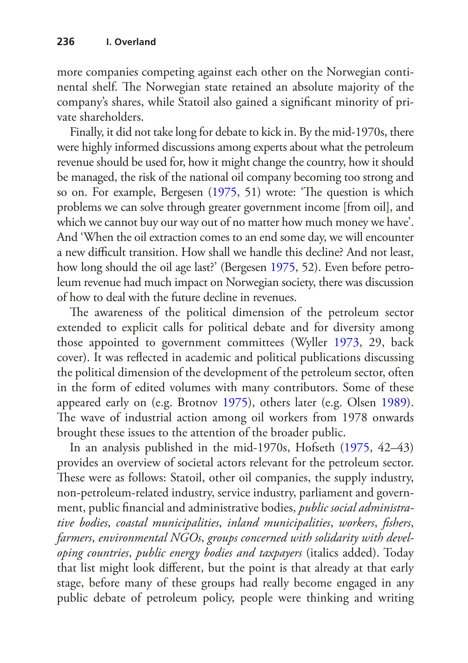more companies competing against each other on the Norwegian continental shelf. The Norwegian state retained an absolute majority of the company's shares, while Statoil also gained a significant minority of private shareholders.

Finally, it did not take long for debate to kick in. By the mid-1970s, there were highly informed discussions among experts about what the petroleum revenue should be used for, how it might change the country, how it should be managed, the risk of the national oil company becoming too strong and so on. For example, Bergesen [\(1975](#page-22-2), 51) wrote: 'The question is which problems we can solve through greater government income [from oil], and which we cannot buy our way out of no matter how much money we have'. And 'When the oil extraction comes to an end some day, we will encounter a new difficult transition. How shall we handle this decline? And not least, how long should the oil age last?' (Bergesen [1975,](#page-22-2) 52). Even before petroleum revenue had much impact on Norwegian society, there was discussion of how to deal with the future decline in revenues.

The awareness of the political dimension of the petroleum sector extended to explicit calls for political debate and for diversity among those appointed to government committees (Wyller [1973](#page-28-2), 29, back cover). It was reflected in academic and political publications discussing the political dimension of the development of the petroleum sector, often in the form of edited volumes with many contributors. Some of these appeared early on (e.g. Brotnov [1975](#page-22-13)), others later (e.g. Olsen [1989\)](#page-25-13). The wave of industrial action among oil workers from 1978 onwards brought these issues to the attention of the broader public.

In an analysis published in the mid-1970s, Hofseth ([1975,](#page-23-16) 42–43) provides an overview of societal actors relevant for the petroleum sector. These were as follows: Statoil, other oil companies, the supply industry, non-petroleum-related industry, service industry, parliament and government, public financial and administrative bodies, *public social administrative bodies*, *coastal municipalities*, *inland municipalities*, *workers*, *fishers*, *farmers*, *environmental NGOs*, *groups concerned with solidarity with developing countries*, *public energy bodies and taxpayers* (italics added). Today that list might look different, but the point is that already at that early stage, before many of these groups had really become engaged in any public debate of petroleum policy, people were thinking and writing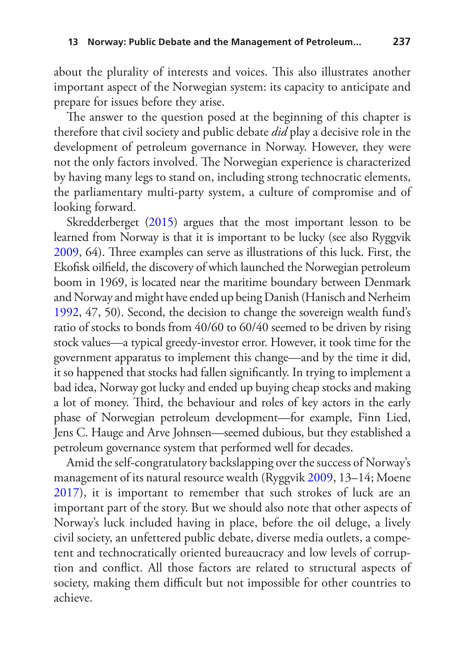about the plurality of interests and voices. This also illustrates another important aspect of the Norwegian system: its capacity to anticipate and prepare for issues before they arise.

The answer to the question posed at the beginning of this chapter is therefore that civil society and public debate *did* play a decisive role in the development of petroleum governance in Norway. However, they were not the only factors involved. The Norwegian experience is characterized by having many legs to stand on, including strong technocratic elements, the parliamentary multi-party system, a culture of compromise and of looking forward.

Skredderberget [\(2015\)](#page-26-12) argues that the most important lesson to be learned from Norway is that it is important to be lucky (see also Ryggvik [2009,](#page-26-1) 64). Three examples can serve as illustrations of this luck. First, the Ekofisk oilfield, the discovery of which launched the Norwegian petroleum boom in 1969, is located near the maritime boundary between Denmark and Norway and might have ended up being Danish (Hanisch and Nerheim [1992,](#page-23-0) 47, 50). Second, the decision to change the sovereign wealth fund's ratio of stocks to bonds from 40/60 to 60/40 seemed to be driven by rising stock values—a typical greedy-investor error. However, it took time for the government apparatus to implement this change—and by the time it did, it so happened that stocks had fallen significantly. In trying to implement a bad idea, Norway got lucky and ended up buying cheap stocks and making a lot of money. Third, the behaviour and roles of key actors in the early phase of Norwegian petroleum development—for example, Finn Lied, Jens C. Hauge and Arve Johnsen—seemed dubious, but they established a petroleum governance system that performed well for decades.

Amid the self-congratulatory backslapping over the success of Norway's management of its natural resource wealth (Ryggvik [2009,](#page-26-1) 13–14; Moene [2017](#page-25-12)), it is important to remember that such strokes of luck are an important part of the story. But we should also note that other aspects of Norway's luck included having in place, before the oil deluge, a lively civil society, an unfettered public debate, diverse media outlets, a competent and technocratically oriented bureaucracy and low levels of corruption and conflict. All those factors are related to structural aspects of society, making them difficult but not impossible for other countries to achieve.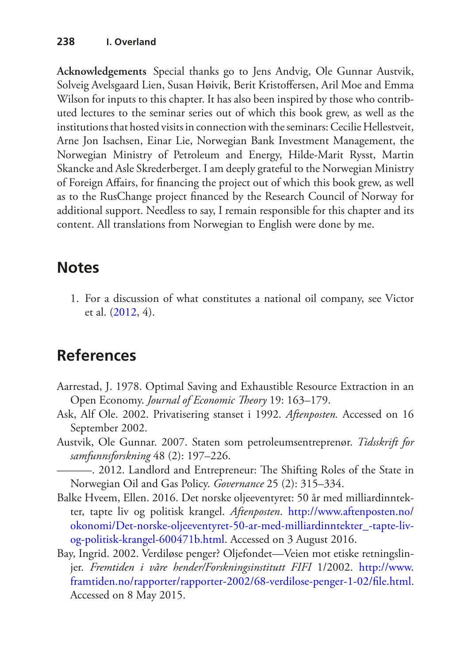**Acknowledgements** Special thanks go to Jens Andvig, Ole Gunnar Austvik, Solveig Avelsgaard Lien, Susan Høivik, Berit Kristoffersen, Aril Moe and Emma Wilson for inputs to this chapter. It has also been inspired by those who contributed lectures to the seminar series out of which this book grew, as well as the institutions that hosted visits in connection with the seminars: Cecilie Hellestveit, Arne Jon Isachsen, Einar Lie, Norwegian Bank Investment Management, the Norwegian Ministry of Petroleum and Energy, Hilde-Marit Rysst, Martin Skancke and Asle Skrederberget. I am deeply grateful to the Norwegian Ministry of Foreign Affairs, for financing the project out of which this book grew, as well as to the RusChange project financed by the Research Council of Norway for additional support. Needless to say, I remain responsible for this chapter and its content. All translations from Norwegian to English were done by me.

## **Notes**

<span id="page-21-0"></span>1. For a discussion of what constitutes a national oil company, see Victor et al. ([2012,](#page-27-12) 4).

# **References**

- <span id="page-21-6"></span>Aarrestad, J. 1978. Optimal Saving and Exhaustible Resource Extraction in an Open Economy. *Journal of Economic Theory* 19: 163–179.
- <span id="page-21-3"></span>Ask, Alf Ole. 2002. Privatisering stanset i 1992. *Aftenposten.* Accessed on 16 September 2002.
- <span id="page-21-2"></span><span id="page-21-1"></span>Austvik, Ole Gunnar. 2007. Staten som petroleumsentreprenør. *Tidsskrift for samfunnsforskning* 48 (2): 197–226.
	- ———. 2012. Landlord and Entrepreneur: The Shifting Roles of the State in Norwegian Oil and Gas Policy. *Governance* 25 (2): 315–334.
- <span id="page-21-5"></span>Balke Hveem, Ellen. 2016. Det norske oljeeventyret: 50 år med milliardinntekter, tapte liv og politisk krangel. *Aftenposten*. [http://www.aftenposten.no/](http://www.aftenposten.no/okonomi/Det-norske-oljeeventyret-50-ar-med-milliardinntekter_-tapte-liv-og-politisk-krangel-600471b.html) [okonomi/Det-norske-oljeeventyret-50-ar-med-milliardinntekter\\_-tapte-liv](http://www.aftenposten.no/okonomi/Det-norske-oljeeventyret-50-ar-med-milliardinntekter_-tapte-liv-og-politisk-krangel-600471b.html)[og-politisk-krangel-600471b.html](http://www.aftenposten.no/okonomi/Det-norske-oljeeventyret-50-ar-med-milliardinntekter_-tapte-liv-og-politisk-krangel-600471b.html). Accessed on 3 August 2016.
- <span id="page-21-4"></span>Bay, Ingrid. 2002. Verdiløse penger? Oljefondet—Veien mot etiske retningslinjer. *Fremtiden i våre hender/Forskningsinstitutt FIFI* 1/2002. [http://www.](http://www.framtiden.no/rapporter/rapporter-2002/68-verdilose-penger-1-02/file.html) [framtiden.no/rapporter/rapporter-2002/68-verdilose-penger-1-02/file.html.](http://www.framtiden.no/rapporter/rapporter-2002/68-verdilose-penger-1-02/file.html) Accessed on 8 May 2015.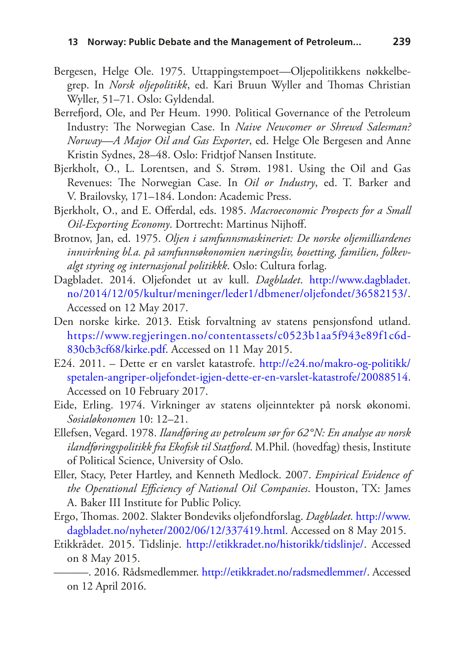- <span id="page-22-2"></span>Bergesen, Helge Ole. 1975. Uttappingstempoet—Oljepolitikkens nøkkelbegrep. In *Norsk oljepolitikk*, ed. Kari Bruun Wyller and Thomas Christian Wyller, 51–71. Oslo: Gyldendal.
- <span id="page-22-0"></span>Berrefjord, Ole, and Per Heum. 1990. Political Governance of the Petroleum Industry: The Norwegian Case. In *Naive Newcomer or Shrewd Salesman? Norway—A Major Oil and Gas Exporter*, ed. Helge Ole Bergesen and Anne Kristin Sydnes, 28–48. Oslo: Fridtjof Nansen Institute.
- <span id="page-22-10"></span>Bjerkholt, O., L. Lorentsen, and S. Strøm. 1981. Using the Oil and Gas Revenues: The Norwegian Case. In *Oil or Industry*, ed. T. Barker and V. Brailovsky, 171–184. London: Academic Press.
- <span id="page-22-11"></span>Bjerkholt, O., and E. Offerdal, eds. 1985. *Macroeconomic Prospects for a Small Oil-Exporting Economy*. Dortrecht: Martinus Nijhoff.
- <span id="page-22-13"></span>Brotnov, Jan, ed. 1975. *Oljen i samfunnsmaskineriet: De norske oljemilliardenes innvirkning bl.a. på samfunnsøkonomien næringsliv, bosetting, familien, folkevalgt styring og internasjonal politikkk*. Oslo: Cultura forlag.
- <span id="page-22-8"></span>Dagbladet. 2014. Oljefondet ut av kull. *Dagbladet*. [http://www.dagbladet.](http://www.dagbladet.no/2014/12/05/kultur/meninger/leder1/dbmener/oljefondet/36582153/) [no/2014/12/05/kultur/meninger/leder1/dbmener/oljefondet/36582153/.](http://www.dagbladet.no/2014/12/05/kultur/meninger/leder1/dbmener/oljefondet/36582153/) Accessed on 12 May 2017.
- <span id="page-22-7"></span>Den norske kirke. 2013. Etisk forvaltning av statens pensjonsfond utland. [https://www.regjeringen.no/contentassets/c0523b1aa5f943e89f1c6d-](https://www.regjeringen.no/contentassets/c0523b1aa5f943e89f1c6d830cb3cf68/kirke.pdf)[830cb3cf68/kirke.pdf](https://www.regjeringen.no/contentassets/c0523b1aa5f943e89f1c6d830cb3cf68/kirke.pdf). Accessed on 11 May 2015.
- <span id="page-22-3"></span>E24. 2011. – Dette er en varslet katastrofe. [http://e24.no/makro-og-politikk/](http://e24.no/makro-og-politikk/spetalen-angriper-oljefondet-igjen-dette-er-en-varslet-katastrofe/20088514) [spetalen-angriper-oljefondet-igjen-dette-er-en-varslet-katastrofe/20088514](http://e24.no/makro-og-politikk/spetalen-angriper-oljefondet-igjen-dette-er-en-varslet-katastrofe/20088514). Accessed on 10 February 2017.
- <span id="page-22-9"></span>Eide, Erling. 1974. Virkninger av statens oljeinntekter på norsk økonomi. *Sosialøkonomen* 10: 12–21.
- <span id="page-22-12"></span>Ellefsen, Vegard. 1978. *Ilandføring av petroleum sør for 62°N: En analyse av norsk ilandføringspolitikk fra Ekofisk til Statfjord*. M.Phil. (hovedfag) thesis, Institute of Political Science, University of Oslo.
- <span id="page-22-1"></span>Eller, Stacy, Peter Hartley, and Kenneth Medlock. 2007. *Empirical Evidence of the Operational Efficiency of National Oil Companies*. Houston, TX: James A. Baker III Institute for Public Policy.
- <span id="page-22-5"></span>Ergo, Thomas. 2002. Slakter Bondeviks oljefondforslag. *Dagbladet.* [http://www.](http://www.dagbladet.no/nyheter/2002/06/12/337419.html) [dagbladet.no/nyheter/2002/06/12/337419.html.](http://www.dagbladet.no/nyheter/2002/06/12/337419.html) Accessed on 8 May 2015.
- <span id="page-22-6"></span><span id="page-22-4"></span>Etikkrådet. 2015. Tidslinje. <http://etikkradet.no/historikk/tidslinje/>. Accessed on 8 May 2015.
	- ———. 2016. Rådsmedlemmer.<http://etikkradet.no/radsmedlemmer/>. Accessed on 12 April 2016.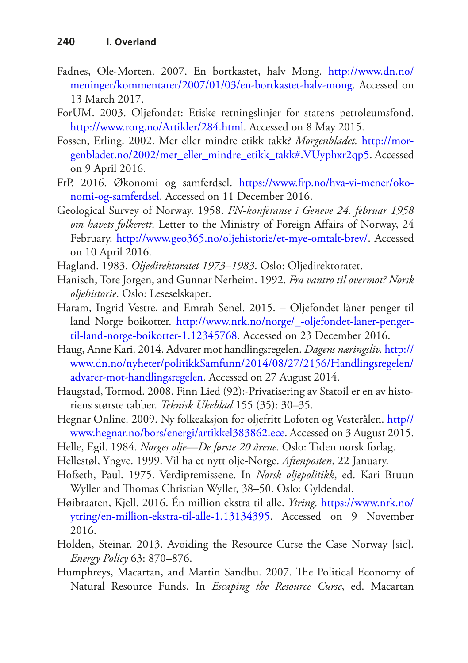- <span id="page-23-2"></span>Fadnes, Ole-Morten. 2007. En bortkastet, halv Mong. [http://www.dn.no/](http://www.dn.no/meninger/kommentarer/2007/01/03/en-bortkastet-halv-mong) [meninger/kommentarer/2007/01/03/en-bortkastet-halv-mong](http://www.dn.no/meninger/kommentarer/2007/01/03/en-bortkastet-halv-mong). Accessed on 13 March 2017.
- <span id="page-23-11"></span>ForUM. 2003. Oljefondet: Etiske retningslinjer for statens petroleumsfond. <http://www.rorg.no/Artikler/284.html>. Accessed on 8 May 2015.
- <span id="page-23-10"></span>Fossen, Erling. 2002. Mer eller mindre etikk takk? *Morgenbladet.* [http://mor](http://morgenbladet.no/2002/mer_eller_mindre_etikk_takk#.VUyphxr2qp5)[genbladet.no/2002/mer\\_eller\\_mindre\\_etikk\\_takk#.VUyphxr2qp5](http://morgenbladet.no/2002/mer_eller_mindre_etikk_takk#.VUyphxr2qp5). Accessed on 9 April 2016.
- <span id="page-23-7"></span>FrP. 2016. Økonomi og samferdsel. [https://www.frp.no/hva-vi-mener/oko](https://www.frp.no/hva-vi-mener/okonomi-og-samferdsel)[nomi-og-samferdsel](https://www.frp.no/hva-vi-mener/okonomi-og-samferdsel). Accessed on 11 December 2016.
- <span id="page-23-13"></span>Geological Survey of Norway. 1958. *FN-konferanse i Geneve 24. februar 1958 om havets folkerett*. Letter to the Ministry of Foreign Affairs of Norway, 24 February. [http://www.geo365.no/oljehistorie/et-mye-omtalt-brev/.](http://www.geo365.no/oljehistorie/et-mye-omtalt-brev/) Accessed on 10 April 2016.
- <span id="page-23-1"></span>Hagland. 1983. *Oljedirektoratet 1973–1983*. Oslo: Oljedirektoratet.
- <span id="page-23-0"></span>Hanisch, Tore Jorgen, and Gunnar Nerheim. 1992. *Fra vantro til overmot? Norsk oljehistorie*. Oslo: Leseselskapet.
- <span id="page-23-5"></span>Haram, Ingrid Vestre, and Emrah Senel. 2015. – Oljefondet låner penger til land Norge boikotter. [http://www.nrk.no/norge/\\_-oljefondet-laner-penger](http://www.nrk.no/norge/_-oljefondet-laner-penger-til-land-norge-boikotter-1.12345768)[til-land-norge-boikotter-1.12345768.](http://www.nrk.no/norge/_-oljefondet-laner-penger-til-land-norge-boikotter-1.12345768) Accessed on 23 December 2016.
- <span id="page-23-8"></span>Haug, Anne Kari. 2014. Advarer mot handlingsregelen. *Dagens næringsliv.* [http://](http://www.dn.no/nyheter/politikkSamfunn/2014/08/27/2156/Handlingsregelen/advarer-mot-handlingsregelen) [www.dn.no/nyheter/politikkSamfunn/2014/08/27/2156/Handlingsregelen/](http://www.dn.no/nyheter/politikkSamfunn/2014/08/27/2156/Handlingsregelen/advarer-mot-handlingsregelen) [advarer-mot-handlingsregelen](http://www.dn.no/nyheter/politikkSamfunn/2014/08/27/2156/Handlingsregelen/advarer-mot-handlingsregelen). Accessed on 27 August 2014.
- <span id="page-23-3"></span>Haugstad, Tormod. 2008. Finn Lied (92):-Privatisering av Statoil er en av historiens største tabber. *Teknisk Ukeblad* 155 (35): 30–35.
- <span id="page-23-12"></span>Hegnar Online. 2009. Ny folkeaksjon for oljefritt Lofoten og Vesterålen. [http//](http://www.hegnar.no/bors/energi/artikkel383862.ece) [www.hegnar.no/bors/energi/artikkel383862.ece](http://www.hegnar.no/bors/energi/artikkel383862.ece). Accessed on 3 August 2015.
- <span id="page-23-14"></span>Helle, Egil. 1984. *Norges olje—De første 20 årene*. Oslo: Tiden norsk forlag.
- <span id="page-23-4"></span>Hellestøl, Yngve. 1999. Vil ha et nytt olje-Norge. *Aftenposten*, 22 January.
- <span id="page-23-16"></span>Hofseth, Paul. 1975. Verdipremissene. In *Norsk oljepolitikk*, ed. Kari Bruun Wyller and Thomas Christian Wyller, 38–50. Oslo: Gyldendal.
- <span id="page-23-15"></span>Høibraaten, Kjell. 2016. Én million ekstra til alle. *Ytring.* [https://www.nrk.no/](https://www.nrk.no/ytring/en-million-ekstra-til-alle-1.13134395) [ytring/en-million-ekstra-til-alle-1.13134395](https://www.nrk.no/ytring/en-million-ekstra-til-alle-1.13134395). Accessed on 9 November 2016.
- <span id="page-23-6"></span>Holden, Steinar. 2013. Avoiding the Resource Curse the Case Norway [sic]. *Energy Policy* 63: 870–876.
- <span id="page-23-9"></span>Humphreys, Macartan, and Martin Sandbu. 2007. The Political Economy of Natural Resource Funds. In *Escaping the Resource Curse*, ed. Macartan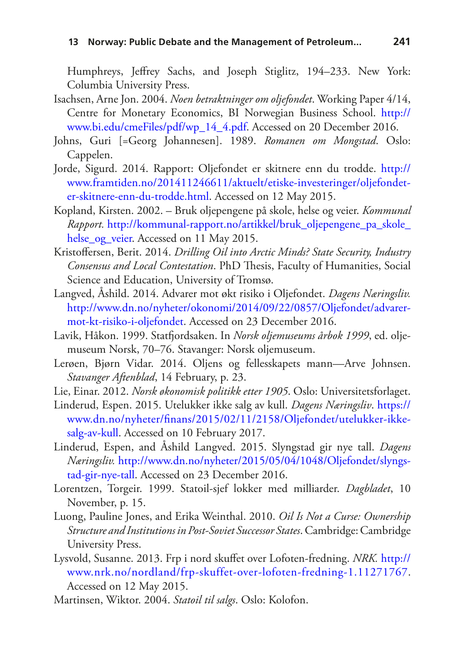Humphreys, Jeffrey Sachs, and Joseph Stiglitz, 194–233. New York: Columbia University Press.

- <span id="page-24-11"></span>Isachsen, Arne Jon. 2004. *Noen betraktninger om oljefondet*. Working Paper 4/14, Centre for Monetary Economics, BI Norwegian Business School. [http://](http://www.bi.edu/cmeFiles/pdf/wp_14_4.pdf) [www.bi.edu/cmeFiles/pdf/wp\\_14\\_4.pdf.](http://www.bi.edu/cmeFiles/pdf/wp_14_4.pdf) Accessed on 20 December 2016.
- <span id="page-24-3"></span>Johns, Guri [=Georg Johannesen]. 1989. *Romanen om Mongstad*. Oslo: Cappelen.
- <span id="page-24-13"></span>Jorde, Sigurd. 2014. Rapport: Oljefondet er skitnere enn du trodde. [http://](http://www.framtiden.no/201411246611/aktuelt/etiske-investeringer/oljefondet-er-skitnere-enn-du-trodde.html) [www.framtiden.no/201411246611/aktuelt/etiske-investeringer/oljefondet](http://www.framtiden.no/201411246611/aktuelt/etiske-investeringer/oljefondet-er-skitnere-enn-du-trodde.html)[er-skitnere-enn-du-trodde.html](http://www.framtiden.no/201411246611/aktuelt/etiske-investeringer/oljefondet-er-skitnere-enn-du-trodde.html). Accessed on 12 May 2015.
- <span id="page-24-10"></span>Kopland, Kirsten. 2002. – Bruk oljepengene på skole, helse og veier. *Kommunal Rapport.* [http://kommunal-rapport.no/artikkel/bruk\\_oljepengene\\_pa\\_skole\\_](http://kommunal-rapport.no/artikkel/bruk_oljepengene_pa_skole_helse_og_veier) helse og veier. Accessed on 11 May 2015.
- <span id="page-24-7"></span>Kristoffersen, Berit. 2014. *Drilling Oil into Arctic Minds? State Security, Industry Consensus and Local Contestation*. PhD Thesis, Faculty of Humanities, Social Science and Education, University of Tromsø.
- <span id="page-24-8"></span>Langved, Åshild. 2014. Advarer mot økt risiko i Oljefondet. *Dagens Næringsliv.* [http://www.dn.no/nyheter/okonomi/2014/09/22/0857/Oljefondet/advarer](http://www.dn.no/nyheter/okonomi/2014/09/22/0857/Oljefondet/advarer-mot-kt-risiko-i-oljefondet)[mot-kt-risiko-i-oljefondet.](http://www.dn.no/nyheter/okonomi/2014/09/22/0857/Oljefondet/advarer-mot-kt-risiko-i-oljefondet) Accessed on 23 December 2016.
- <span id="page-24-2"></span>Lavik, Håkon. 1999. Statfjordsaken. In *Norsk oljemuseums årbok 1999*, ed. oljemuseum Norsk, 70–76. Stavanger: Norsk oljemuseum.
- <span id="page-24-0"></span>Lerøen, Bjørn Vidar. 2014. Oljens og fellesskapets mann—Arve Johnsen. *Stavanger Aftenblad*, 14 February, p. 23.
- <span id="page-24-6"></span>Lie, Einar. 2012. *Norsk økonomisk politikk etter 1905*. Oslo: Universitetsforlaget.
- <span id="page-24-12"></span>Linderud, Espen. 2015. Utelukker ikke salg av kull. *Dagens Næringsliv*. [https://](https://www.dn.no/nyheter/finans/2015/02/11/2158/Oljefondet/utelukker-ikke-salg-av-kull) [www.dn.no/nyheter/finans/2015/02/11/2158/Oljefondet/utelukker-ikke](https://www.dn.no/nyheter/finans/2015/02/11/2158/Oljefondet/utelukker-ikke-salg-av-kull)[salg-av-kull](https://www.dn.no/nyheter/finans/2015/02/11/2158/Oljefondet/utelukker-ikke-salg-av-kull). Accessed on 10 February 2017.
- <span id="page-24-9"></span>Linderud, Espen, and Åshild Langved. 2015. Slyngstad gir nye tall. *Dagens Næringsliv.* [http://www.dn.no/nyheter/2015/05/04/1048/Oljefondet/slyngs](http://www.dn.no/nyheter/2015/05/04/1048/Oljefondet/slyngstad-gir-nye-tall)[tad-gir-nye-tall.](http://www.dn.no/nyheter/2015/05/04/1048/Oljefondet/slyngstad-gir-nye-tall) Accessed on 23 December 2016.
- <span id="page-24-4"></span>Lorentzen, Torgeir. 1999. Statoil-sjef lokker med milliarder. *Dagbladet*, 10 November, p. 15.
- <span id="page-24-1"></span>Luong, Pauline Jones, and Erika Weinthal. 2010. *Oil Is Not a Curse: Ownership Structure and Institutions in Post-Soviet Successor States*. Cambridge: Cambridge University Press.
- <span id="page-24-14"></span>Lysvold, Susanne. 2013. Frp i nord skuffet over Lofoten-fredning. *NRK.* [http://](http://www.nrk.no/nordland/frp-skuffet-over-lofoten-fredning-1.11271767) [www.nrk.no/nordland/frp-skuffet-over-lofoten-fredning-1.11271767](http://www.nrk.no/nordland/frp-skuffet-over-lofoten-fredning-1.11271767). Accessed on 12 May 2015.
- <span id="page-24-5"></span>Martinsen, Wiktor. 2004. *Statoil til salgs*. Oslo: Kolofon.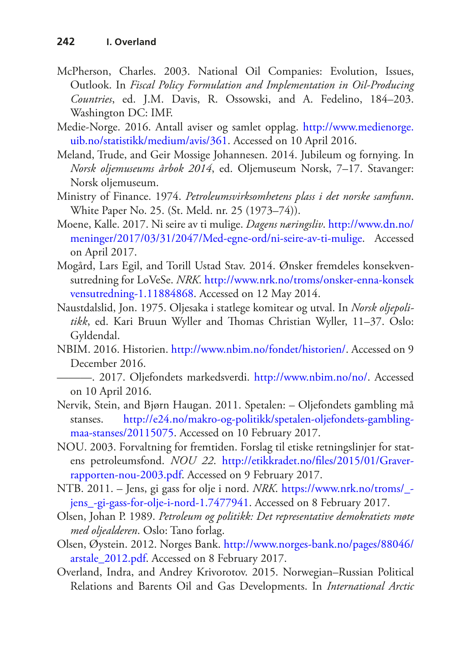- <span id="page-25-4"></span>McPherson, Charles. 2003. National Oil Companies: Evolution, Issues, Outlook. In *Fiscal Policy Formulation and Implementation in Oil-Producing Countries*, ed. J.M. Davis, R. Ossowski, and A. Fedelino, 184–203. Washington DC: IMF.
- <span id="page-25-1"></span>Medie-Norge. 2016. Antall aviser og samlet opplag. [http://www.medienorge.](http://www.medienorge.uib.no/statistikk/medium/avis/361) [uib.no/statistikk/medium/avis/361](http://www.medienorge.uib.no/statistikk/medium/avis/361). Accessed on 10 April 2016.
- <span id="page-25-3"></span>Meland, Trude, and Geir Mossige Johannesen. 2014. Jubileum og fornying. In *Norsk oljemuseums årbok 2014*, ed. Oljemuseum Norsk, 7–17. Stavanger: Norsk oljemuseum.
- <span id="page-25-5"></span>Ministry of Finance. 1974. *Petroleumsvirksomhetens plass i det norske samfunn*. White Paper No. 25. (St. Meld. nr. 25 (1973–74)).
- <span id="page-25-12"></span>Moene, Kalle. 2017. Ni seire av ti mulige. *Dagens næringsliv*. [http://www.dn.no/](http://www.dn.no/meninger/2017/03/31/2047/Med-egne-ord/ni-seire-av-ti-mulige) [meninger/2017/03/31/2047/Med-egne-ord/ni-seire-av-ti-mulige.](http://www.dn.no/meninger/2017/03/31/2047/Med-egne-ord/ni-seire-av-ti-mulige) Accessed on April 2017.
- <span id="page-25-11"></span>Mogård, Lars Egil, and Torill Ustad Stav. 2014. Ønsker fremdeles konsekvensutredning for LoVeSe. *NRK*. [http://www.nrk.no/troms/onsker-enna-konsek](http://www.nrk.no/troms/onsker-enna-konsekvensutredning-1.11884868) [vensutredning-1.11884868.](http://www.nrk.no/troms/onsker-enna-konsekvensutredning-1.11884868) Accessed on 12 May 2014.
- <span id="page-25-2"></span>Naustdalslid, Jon. 1975. Oljesaka i statlege komitear og utval. In *Norsk oljepolitikk*, ed. Kari Bruun Wyller and Thomas Christian Wyller, 11–37. Oslo: Gyldendal.
- NBIM. 2016. Historien. <http://www.nbim.no/fondet/historien/>. Accessed on 9 December 2016.
- <span id="page-25-0"></span>———. 2017. Oljefondets markedsverdi. [http://www.nbim.no/no/.](http://www.nbim.no/no/) Accessed on 10 April 2016.
- <span id="page-25-7"></span>Nervik, Stein, and Bjørn Haugan. 2011. Spetalen: – Oljefondets gambling må stanses. [http://e24.no/makro-og-politikk/spetalen-oljefondets-gambling](http://e24.no/makro-og-politikk/spetalen-oljefondets-gambling-maa-stanses/20115075)[maa-stanses/20115075.](http://e24.no/makro-og-politikk/spetalen-oljefondets-gambling-maa-stanses/20115075) Accessed on 10 February 2017.
- <span id="page-25-8"></span>NOU. 2003. Forvaltning for fremtiden. Forslag til etiske retningslinjer for statens petroleumsfond. *NOU 22*. [http://etikkradet.no/files/2015/01/Graver](http://etikkradet.no/files/2015/01/Graver-rapporten-nou-2003.pdf)[rapporten-nou-2003.pdf.](http://etikkradet.no/files/2015/01/Graver-rapporten-nou-2003.pdf) Accessed on 9 February 2017.
- <span id="page-25-10"></span>NTB. 2011. – Jens, gi gass for olje i nord. *NRK*. [https://www.nrk.no/troms/\\_](https://www.nrk.no/troms/_-jens_-gi-gass-for-olje-i-nord-1.7477941) [jens\\_-gi-gass-for-olje-i-nord-1.7477941](https://www.nrk.no/troms/_-jens_-gi-gass-for-olje-i-nord-1.7477941). Accessed on 8 February 2017.
- <span id="page-25-13"></span>Olsen, Johan P. 1989. *Petroleum og politikk: Det representative demokratiets møte med oljealderen*. Oslo: Tano forlag.
- <span id="page-25-6"></span>Olsen, Øystein. 2012. Norges Bank. [http://www.norges-bank.no/pages/88046/](http://www.norges-bank.no/pages/88046/arstale_2012.pdf) [arstale\\_2012.pdf.](http://www.norges-bank.no/pages/88046/arstale_2012.pdf) Accessed on 8 February 2017.
- <span id="page-25-9"></span>Overland, Indra, and Andrey Krivorotov. 2015. Norwegian–Russian Political Relations and Barents Oil and Gas Developments. In *International Arctic*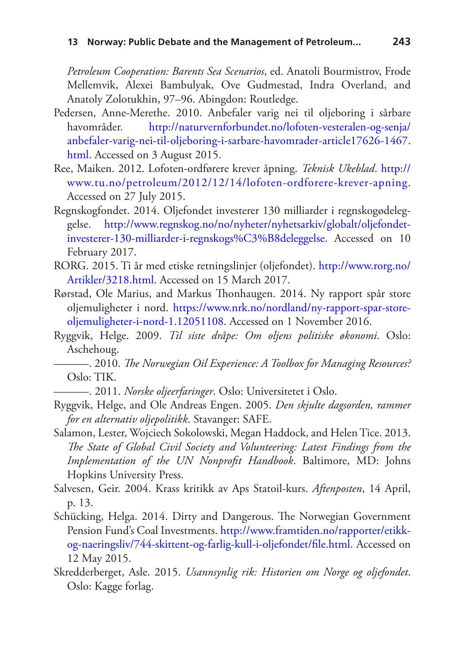*Petroleum Cooperation: Barents Sea Scenarios*, ed. Anatoli Bourmistrov, Frode Mellemvik, Alexei Bambulyak, Ove Gudmestad, Indra Overland, and Anatoly Zolotukhin, 97–96. Abingdon: Routledge.

- <span id="page-26-9"></span>Pedersen, Anne-Merethe. 2010. Anbefaler varig nei til oljeboring i sårbare havområder. [http://naturvernforbundet.no/lofoten-vesteralen-og-senja/](http://naturvernforbundet.no/lofoten-vesteralen-og-senja/anbefaler-varig-nei-til-oljeboring-i-sarbare-havomrader-article17626-1467.html) [anbefaler-varig-nei-til-oljeboring-i-sarbare-havomrader-article17626-1467.](http://naturvernforbundet.no/lofoten-vesteralen-og-senja/anbefaler-varig-nei-til-oljeboring-i-sarbare-havomrader-article17626-1467.html) [html.](http://naturvernforbundet.no/lofoten-vesteralen-og-senja/anbefaler-varig-nei-til-oljeboring-i-sarbare-havomrader-article17626-1467.html) Accessed on 3 August 2015.
- <span id="page-26-10"></span>Ree, Maiken. 2012. Lofoten-ordførere krever åpning. *Teknisk Ukeblad*. [http://](http://www.tu.no/petroleum/2012/12/14/lofoten-ordforere-krever-apning) [www.tu.no/petroleum/2012/12/14/lofoten-ordforere-krever-apning.](http://www.tu.no/petroleum/2012/12/14/lofoten-ordforere-krever-apning) Accessed on 27 July 2015.
- <span id="page-26-7"></span>Regnskogfondet. 2014. Oljefondet investerer 130 milliarder i regnskogødeleggelse. [http://www.regnskog.no/no/nyheter/nyhetsarkiv/globalt/oljefondet](http://www.regnskog.no/no/nyheter/nyhetsarkiv/globalt/oljefondet-investerer-130-milliarder-i-regnskogsødeleggelse)[investerer-130-milliarder-i-regnskogs%C3%B8deleggelse](http://www.regnskog.no/no/nyheter/nyhetsarkiv/globalt/oljefondet-investerer-130-milliarder-i-regnskogsødeleggelse). Accessed on 10 February 2017.
- <span id="page-26-6"></span>RORG. 2015. Ti år med etiske retningslinjer (oljefondet). [http://www.rorg.no/](http://www.rorg.no/Artikler/3218.html) [Artikler/3218.html](http://www.rorg.no/Artikler/3218.html). Accessed on 15 March 2017.
- <span id="page-26-11"></span>Rørstad, Ole Marius, and Markus Thonhaugen. 2014. Ny rapport spår store oljemuligheter i nord. [https://www.nrk.no/nordland/ny-rapport-spar-store](https://www.nrk.no/nordland/ny-rapport-spar-store-oljemuligheter-i-nord-1.12051108)[oljemuligheter-i-nord-1.12051108.](https://www.nrk.no/nordland/ny-rapport-spar-store-oljemuligheter-i-nord-1.12051108) Accessed on 1 November 2016.
- <span id="page-26-1"></span>Ryggvik, Helge. 2009. *Til siste dråpe: Om oljens politiske økonomi*. Oslo: Aschehoug.
- <span id="page-26-3"></span>———. 2010. *The Norwegian Oil Experience: A Toolbox for Managing Resources?* Oslo: TIK.
	- ———. 2011. *Norske oljeerfaringer*. Oslo: Universitetet i Oslo.
- <span id="page-26-5"></span><span id="page-26-2"></span>Ryggvik, Helge, and Ole Andreas Engen. 2005. *Den skjulte dagsorden, rammer for en alternativ oljepolitikk*. Stavanger: SAFE.
- <span id="page-26-0"></span>Salamon, Lester, Wojciech Sokolowski, Megan Haddock, and Helen Tice. 2013. *The State of Global Civil Society and Volunteering: Latest Findings from the Implementation of the UN Nonprofit Handbook*. Baltimore, MD: Johns Hopkins University Press.
- <span id="page-26-4"></span>Salvesen, Geir. 2004. Krass kritikk av Aps Statoil-kurs. *Aftenposten*, 14 April, p. 13.
- <span id="page-26-8"></span>Schücking, Helga. 2014. Dirty and Dangerous. The Norwegian Government Pension Fund's Coal Investments. [http://www.framtiden.no/rapporter/etikk](http://www.framtiden.no/rapporter/etikk-og-naeringsliv/744-skittent-og-farlig-kull-i-oljefondet/file.html)[og-naeringsliv/744-skittent-og-farlig-kull-i-oljefondet/file.html](http://www.framtiden.no/rapporter/etikk-og-naeringsliv/744-skittent-og-farlig-kull-i-oljefondet/file.html). Accessed on 12 May 2015.
- <span id="page-26-12"></span>Skredderberget, Asle. 2015. *Usannsynlig rik: Historien om Norge og oljefondet*. Oslo: Kagge forlag.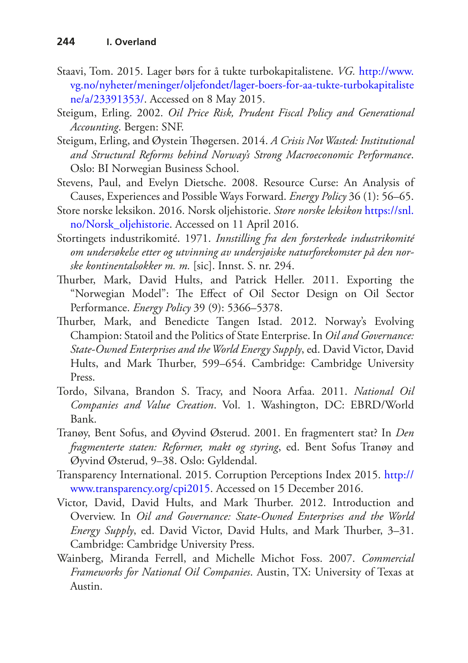- <span id="page-27-9"></span>Staavi, Tom. 2015. Lager børs for å tukte turbokapitalistene. *VG.* [http://www.](http://www.vg.no/nyheter/meninger/oljefondet/lager-boers-for-aa-tukte-turbokapitalistene/a/23391353/) [vg.no/nyheter/meninger/oljefondet/lager-boers-for-aa-tukte-turbokapitaliste](http://www.vg.no/nyheter/meninger/oljefondet/lager-boers-for-aa-tukte-turbokapitalistene/a/23391353/) [ne/a/23391353/](http://www.vg.no/nyheter/meninger/oljefondet/lager-boers-for-aa-tukte-turbokapitalistene/a/23391353/). Accessed on 8 May 2015.
- <span id="page-27-0"></span>Steigum, Erling. 2002. *Oil Price Risk, Prudent Fiscal Policy and Generational Accounting*. Bergen: SNF.
- <span id="page-27-10"></span>Steigum, Erling, and Øystein Thøgersen. 2014. *A Crisis Not Wasted: Institutional and Structural Reforms behind Norway's Strong Macroeconomic Performance*. Oslo: BI Norwegian Business School.
- <span id="page-27-8"></span>Stevens, Paul, and Evelyn Dietsche. 2008. Resource Curse: An Analysis of Causes, Experiences and Possible Ways Forward. *Energy Policy* 36 (1): 56–65.
- <span id="page-27-2"></span>Store norske leksikon. 2016. Norsk oljehistorie. *Store norske leksikon* [https://snl.](https://snl.no/Norsk_oljehistorie) [no/Norsk\\_oljehistorie.](https://snl.no/Norsk_oljehistorie) Accessed on 11 April 2016.
- <span id="page-27-3"></span>Stortingets industrikomité. 1971. *Innstilling fra den forsterkede industrikomité om undersøkelse etter og utvinning av undersjøiske naturforekomster på den norske kontinentalsokker m. m.* [sic]. Innst. S. nr. 294.
- <span id="page-27-4"></span>Thurber, Mark, David Hults, and Patrick Heller. 2011. Exporting the "Norwegian Model": The Effect of Oil Sector Design on Oil Sector Performance. *Energy Policy* 39 (9): 5366–5378.
- <span id="page-27-5"></span>Thurber, Mark, and Benedicte Tangen Istad. 2012. Norway's Evolving Champion: Statoil and the Politics of State Enterprise. In *Oil and Governance: State-Owned Enterprises and the World Energy Supply*, ed. David Victor, David Hults, and Mark Thurber, 599–654. Cambridge: Cambridge University Press.
- <span id="page-27-6"></span>Tordo, Silvana, Brandon S. Tracy, and Noora Arfaa. 2011. *National Oil Companies and Value Creation*. Vol. 1. Washington, DC: EBRD/World Bank.
- <span id="page-27-11"></span>Tranøy, Bent Sofus, and Øyvind Østerud. 2001. En fragmentert stat? In *Den fragmenterte staten: Reformer, makt og styring*, ed. Bent Sofus Tranøy and Øyvind Østerud, 9–38. Oslo: Gyldendal.
- <span id="page-27-1"></span>Transparency International. 2015. Corruption Perceptions Index 2015. [http://](http://www.transparency.org/cpi2015) [www.transparency.org/cpi2015.](http://www.transparency.org/cpi2015) Accessed on 15 December 2016.
- <span id="page-27-12"></span>Victor, David, David Hults, and Mark Thurber. 2012. Introduction and Overview. In *Oil and Governance: State-Owned Enterprises and the World Energy Supply*, ed. David Victor, David Hults, and Mark Thurber, 3–31. Cambridge: Cambridge University Press.
- <span id="page-27-7"></span>Wainberg, Miranda Ferrell, and Michelle Michot Foss. 2007. *Commercial Frameworks for National Oil Companies*. Austin, TX: University of Texas at Austin.